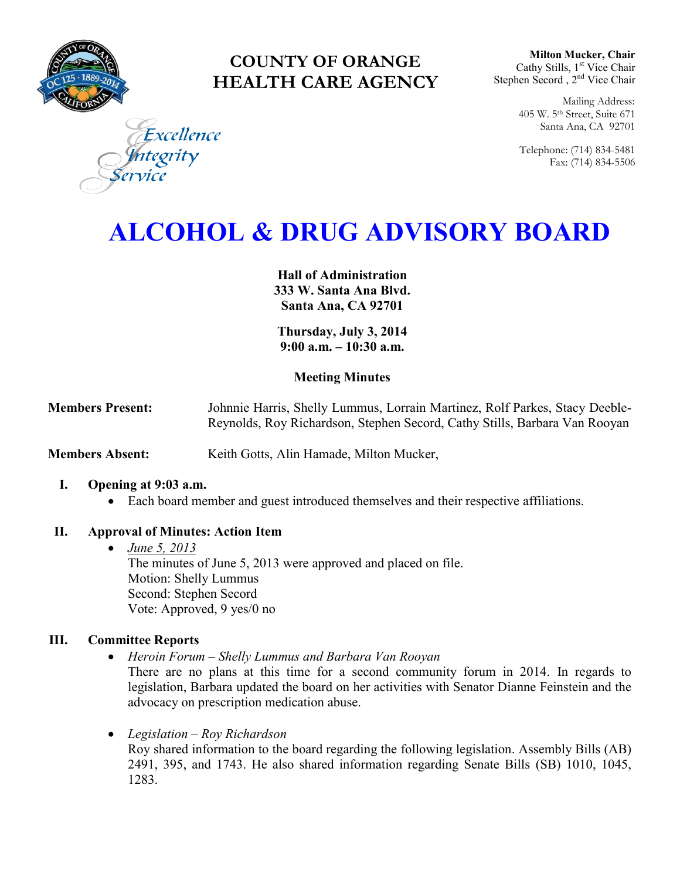

# **COUNTY OF ORANGE HEALTH CARE AGENCY**

**Milton Mucker, Chair** Cathy Stills, 1<sup>st</sup> Vice Chair Stephen Secord, 2<sup>nd</sup> Vice Chair

> Mailing Address: 405 W. 5th Street, Suite 671 Santa Ana, CA 92701

> Telephone: (714) 834-5481 Fax: (714) 834-5506

Excellence egrity

# **ALCOHOL & DRUG ADVISORY BOARD**

**Hall of Administration 333 W. Santa Ana Blvd. Santa Ana, CA 92701**

**Thursday, July 3, 2014 9:00 a.m. – 10:30 a.m.** 

# **Meeting Minutes**

**Members Present:** Johnnie Harris, Shelly Lummus, Lorrain Martinez, Rolf Parkes, Stacy Deeble-Reynolds, Roy Richardson, Stephen Secord, Cathy Stills, Barbara Van Rooyan

**Members Absent:** Keith Gotts, Alin Hamade, Milton Mucker,

#### **I. Opening at 9:03 a.m.**

Each board member and guest introduced themselves and their respective affiliations.

# **II. Approval of Minutes: Action Item**

 *June 5, 2013* The minutes of June 5, 2013 were approved and placed on file. Motion: Shelly Lummus Second: Stephen Secord Vote: Approved, 9 yes/0 no

#### **III. Committee Reports**

*Heroin Forum – Shelly Lummus and Barbara Van Rooyan* 

There are no plans at this time for a second community forum in 2014. In regards to legislation, Barbara updated the board on her activities with Senator Dianne Feinstein and the advocacy on prescription medication abuse.

 *Legislation – Roy Richardson*  Roy shared information to the board regarding the following legislation. Assembly Bills (AB) 2491, 395, and 1743. He also shared information regarding Senate Bills (SB) 1010, 1045, 1283.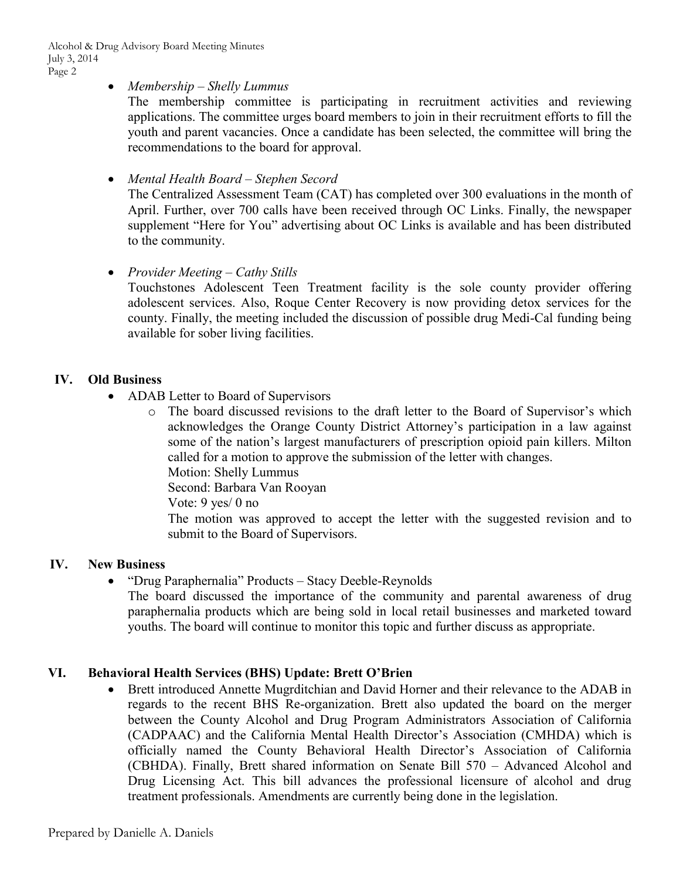#### *Membership – Shelly Lummus*

The membership committee is participating in recruitment activities and reviewing applications. The committee urges board members to join in their recruitment efforts to fill the youth and parent vacancies. Once a candidate has been selected, the committee will bring the recommendations to the board for approval.

#### *Mental Health Board – Stephen Secord*

The Centralized Assessment Team (CAT) has completed over 300 evaluations in the month of April. Further, over 700 calls have been received through OC Links. Finally, the newspaper supplement "Here for You" advertising about OC Links is available and has been distributed to the community.

#### *Provider Meeting – Cathy Stills*

Touchstones Adolescent Teen Treatment facility is the sole county provider offering adolescent services. Also, Roque Center Recovery is now providing detox services for the county. Finally, the meeting included the discussion of possible drug Medi-Cal funding being available for sober living facilities.

#### **IV. Old Business**

- ADAB Letter to Board of Supervisors
	- o The board discussed revisions to the draft letter to the Board of Supervisor's which acknowledges the Orange County District Attorney's participation in a law against some of the nation's largest manufacturers of prescription opioid pain killers. Milton called for a motion to approve the submission of the letter with changes.

Motion: Shelly Lummus

Second: Barbara Van Rooyan

Vote: 9 yes/ 0 no

The motion was approved to accept the letter with the suggested revision and to submit to the Board of Supervisors.

# **IV. New Business**

- "Drug Paraphernalia" Products Stacy Deeble-Reynolds
	- The board discussed the importance of the community and parental awareness of drug paraphernalia products which are being sold in local retail businesses and marketed toward youths. The board will continue to monitor this topic and further discuss as appropriate.

# **VI. Behavioral Health Services (BHS) Update: Brett O'Brien**

• Brett introduced Annette Mugrditchian and David Horner and their relevance to the ADAB in regards to the recent BHS Re-organization. Brett also updated the board on the merger between the County Alcohol and Drug Program Administrators Association of California (CADPAAC) and the California Mental Health Director's Association (CMHDA) which is officially named the County Behavioral Health Director's Association of California (CBHDA). Finally, Brett shared information on Senate Bill 570 – Advanced Alcohol and Drug Licensing Act. This bill advances the professional licensure of alcohol and drug treatment professionals. Amendments are currently being done in the legislation.